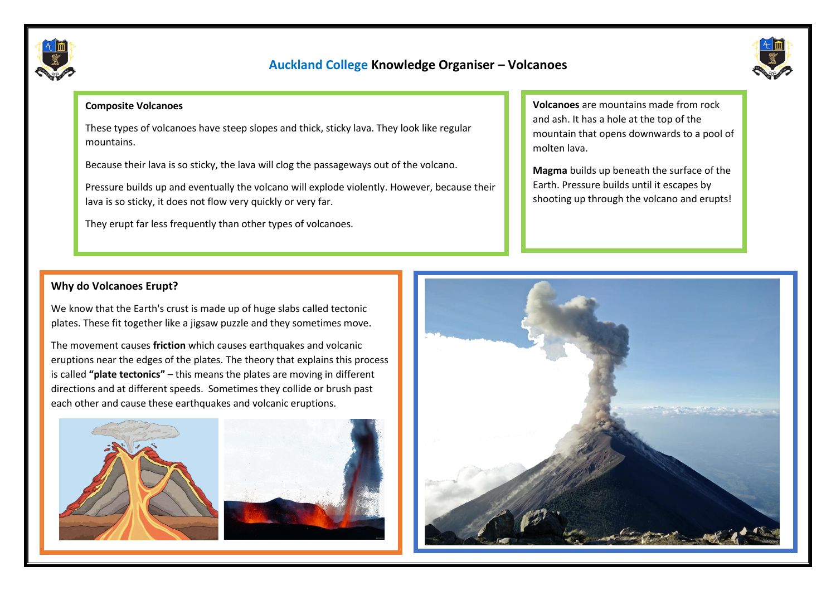

# **Auckland College Knowledge Organiser – Volcanoes**



#### **Composite Volcanoes**

These types of volcanoes have steep slopes and thick, sticky lava. They look like regular mountains.

Because their lava is so sticky, the lava will clog the passageways out of the volcano.

Pressure builds up and eventually the volcano will explode violently. However, because their lava is so sticky, it does not flow very quickly or very far.

They erupt far less frequently than other types of volcanoes.

**Volcanoes** are mountains made from rock and ash. It has a hole at the top of the mountain that opens downwards to a pool of molten lava.

**Magma** builds up beneath the surface of the Earth. Pressure builds until it escapes by shooting up through the volcano and erupts!

### **Why do Volcanoes Erupt?**

We know that the Earth's crust is made up of huge slabs called tectonic plates. These fit together like a jigsaw puzzle and they sometimes move.

The movement causes **friction** which causes earthquakes and volcanic eruptions near the edges of the plates. The theory that explains this process is called **"plate tectonics"** – this means the plates are moving in different directions and at different speeds. Sometimes they collide or brush past each other and cause these earthquakes and volcanic eruptions.



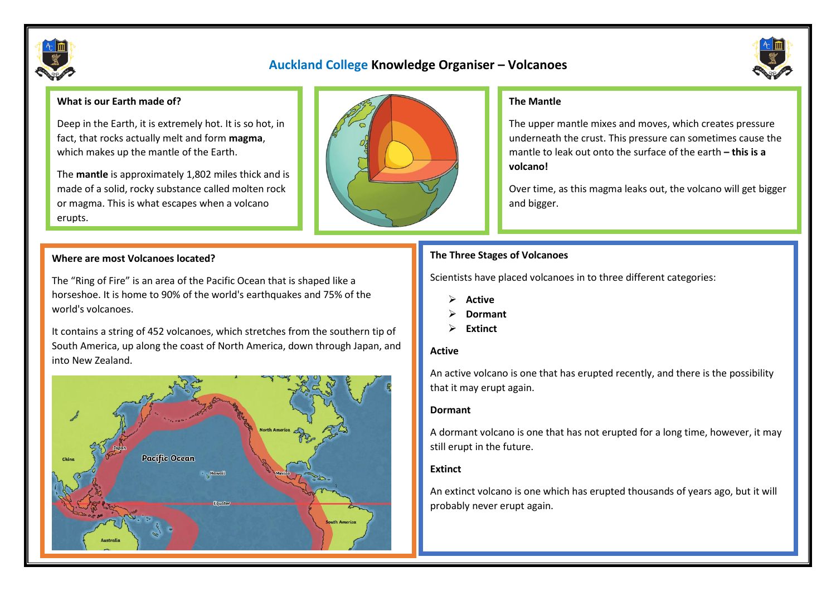

### **Auckland College Knowledge Organiser – Volcanoes**



#### **What is our Earth made of?**

Deep in the Earth, it is extremely hot. It is so hot, in fact, that rocks actually melt and form **magma**, which makes up the mantle of the Earth.

The **mantle** is approximately 1,802 miles thick and is made of a solid, rocky substance called molten rock or magma. This is what escapes when a volcano erupts.

#### **Where are most Volcanoes located?**

The "Ring of Fire" is an area of the Pacific Ocean that is shaped like a horseshoe. It is home to 90% of the world's earthquakes and 75% of the world's volcanoes.

It contains a string of 452 volcanoes, which stretches from the southern tip of South America, up along the coast of North America, down through Japan, and into New Zealand.





#### **The Mantle**

The upper mantle mixes and moves, which creates pressure underneath the crust. This pressure can sometimes cause the mantle to leak out onto the surface of the earth **– this is a volcano!**

Over time, as this magma leaks out, the volcano will get bigger and bigger.

### **The Three Stages of Volcanoes**

Scientists have placed volcanoes in to three different categories:

- ➢ **Active**
- ➢ **Dormant**
- ➢ **Extinct**

#### **Active**

An active volcano is one that has erupted recently, and there is the possibility that it may erupt again.

#### **Dormant**

A dormant volcano is one that has not erupted for a long time, however, it may still erupt in the future.

#### **Extinct**

An extinct volcano is one which has erupted thousands of years ago, but it will probably never erupt again.